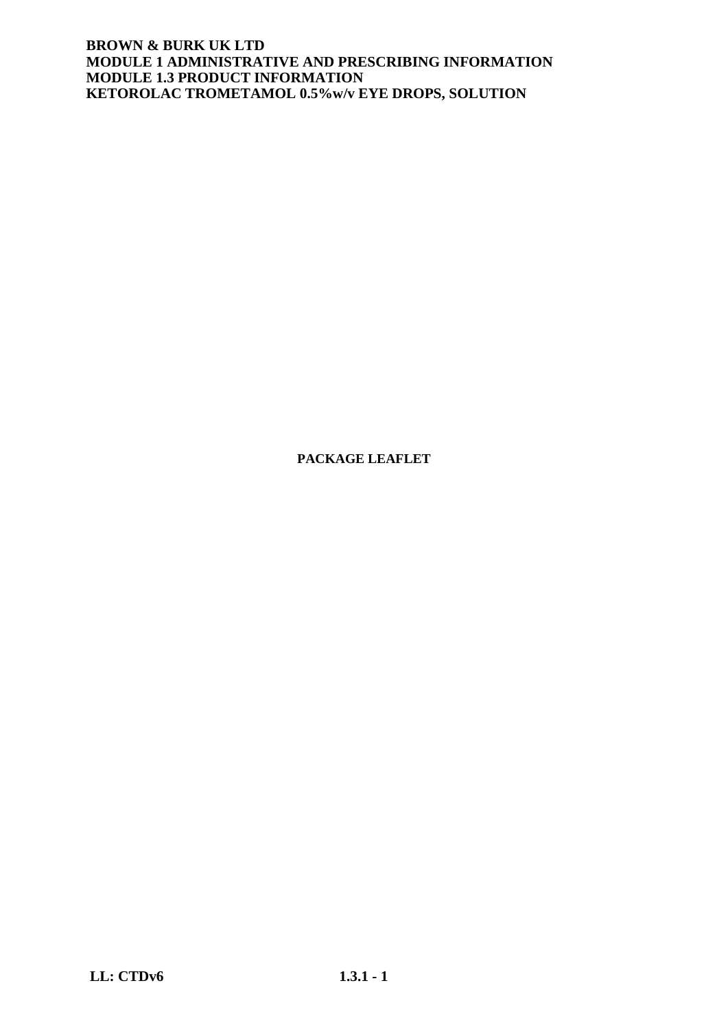**PACKAGE LEAFLET**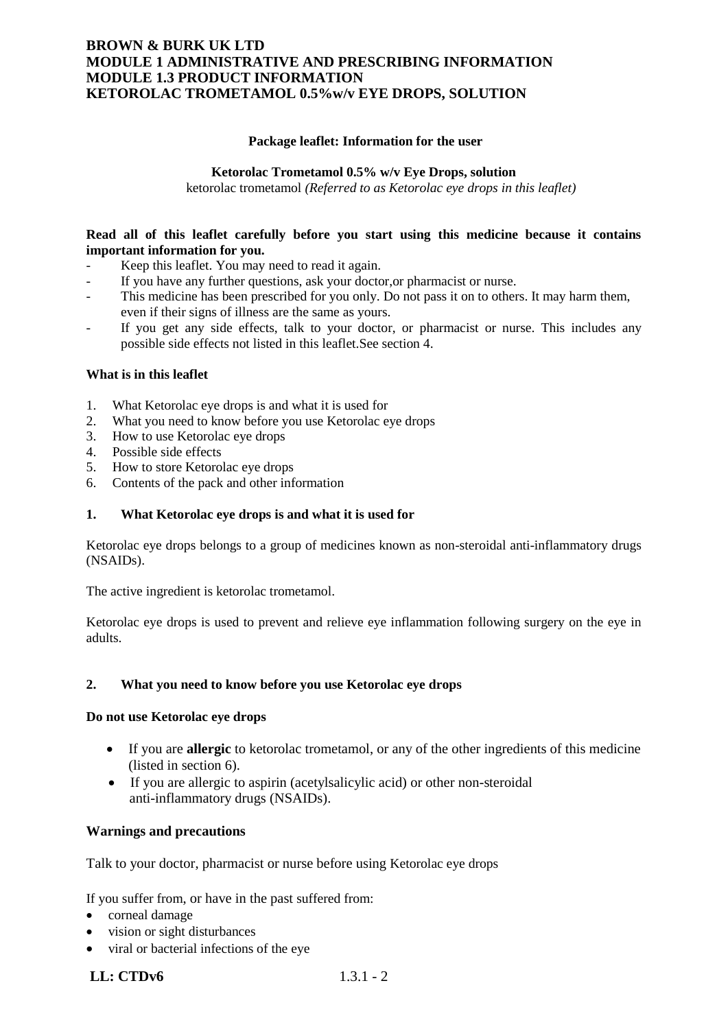### **Package leaflet: Information for the user**

#### **Ketorolac Trometamol 0.5% w/v Eye Drops, solution**

ketorolac trometamol *(Referred to as Ketorolac eye drops in this leaflet)*

### **Read all of this leaflet carefully before you start using this medicine because it contains important information for you.**

- Keep this leaflet. You may need to read it again.
- If you have any further questions, ask your doctor, or pharmacist or nurse.
- This medicine has been prescribed for you only. Do not pass it on to others. It may harm them, even if their signs of illness are the same as yours.
- If you get any side effects, talk to your doctor, or pharmacist or nurse. This includes any possible side effects not listed in this leaflet.See section 4.

#### **What is in this leaflet**

- 1. What Ketorolac eye drops is and what it is used for
- 2. What you need to know before you use Ketorolac eye drops
- 3. How to use Ketorolac eye drops
- 4. Possible side effects
- 5. How to store Ketorolac eye drops
- 6. Contents of the pack and other information

#### **1. What Ketorolac eye drops is and what it is used for**

Ketorolac eye drops belongs to a group of medicines known as non-steroidal anti-inflammatory drugs (NSAIDs).

The active ingredient is ketorolac trometamol.

Ketorolac eye drops is used to prevent and relieve eye inflammation following surgery on the eye in adults.

#### **2. What you need to know before you use Ketorolac eye drops**

#### **Do not use Ketorolac eye drops**

- If you are **allergic** to ketorolac trometamol, or any of the other ingredients of this medicine (listed in section 6).
- If you are allergic to aspirin (acetylsalicylic acid) or other non-steroidal anti-inflammatory drugs (NSAIDs).

### **Warnings and precautions**

Talk to your doctor, pharmacist or nurse before using Ketorolac eye drops

If you suffer from, or have in the past suffered from:

- corneal damage
- vision or sight disturbances
- viral or bacterial infections of the eye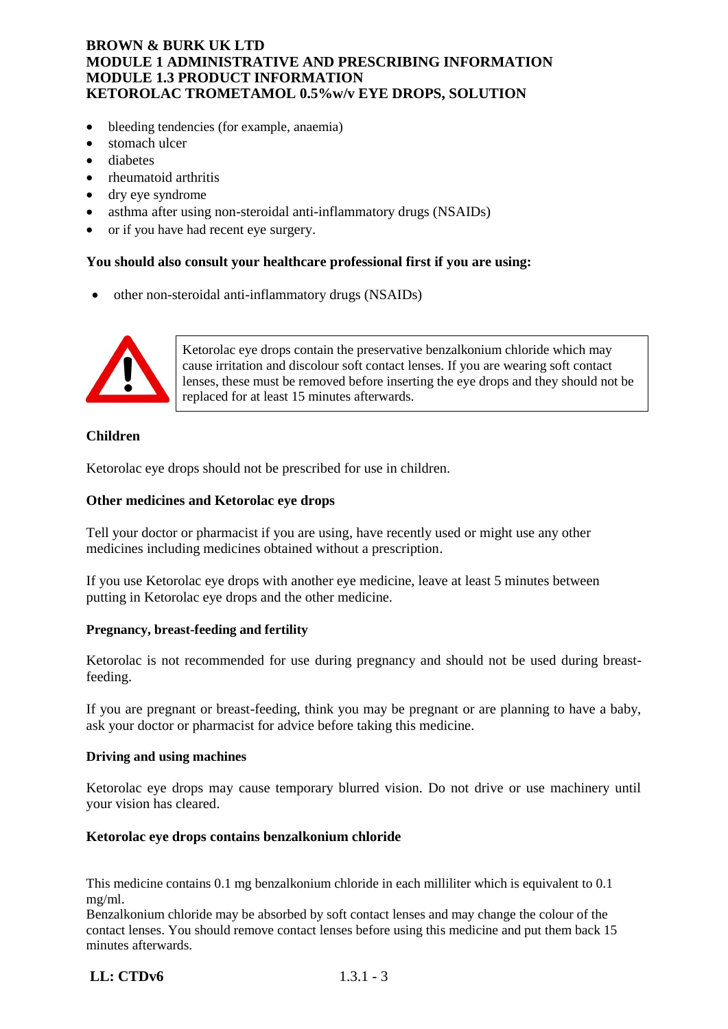- bleeding tendencies (for example, anaemia)
- stomach ulcer
- diabetes
- rheumatoid arthritis
- dry eye syndrome
- asthma after using non-steroidal anti-inflammatory drugs (NSAIDs)
- or if you have had recent eye surgery.

## **You should also consult your healthcare professional first if you are using:**

• other non-steroidal anti-inflammatory drugs (NSAIDs)



Ketorolac eye drops contain the preservative benzalkonium chloride which may cause irritation and discolour soft contact lenses. If you are wearing soft contact lenses, these must be removed before inserting the eye drops and they should not be replaced for at least 15 minutes afterwards.

# **Children**

Ketorolac eye drops should not be prescribed for use in children.

## **Other medicines and Ketorolac eye drops**

Tell your doctor or pharmacist if you are using, have recently used or might use any other medicines including medicines obtained without a prescription.

If you use Ketorolac eye drops with another eye medicine, leave at least 5 minutes between putting in Ketorolac eye drops and the other medicine.

### **Pregnancy, breast-feeding and fertility**

Ketorolac is not recommended for use during pregnancy and should not be used during breastfeeding.

If you are pregnant or breast-feeding, think you may be pregnant or are planning to have a baby, ask your doctor or pharmacist for advice before taking this medicine.

### **Driving and using machines**

Ketorolac eye drops may cause temporary blurred vision. Do not drive or use machinery until your vision has cleared.

## **Ketorolac eye drops contains benzalkonium chloride**

This medicine contains 0.1 mg benzalkonium chloride in each milliliter which is equivalent to 0.1 mg/ml.

Benzalkonium chloride may be absorbed by soft contact lenses and may change the colour of the contact lenses. You should remove contact lenses before using this medicine and put them back 15 minutes afterwards.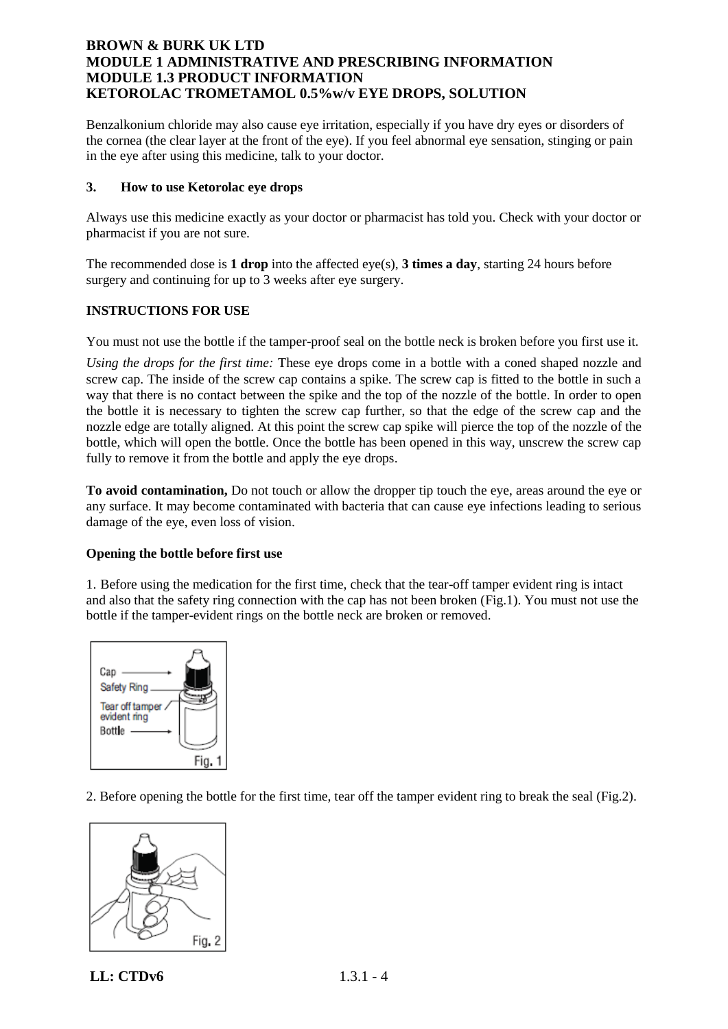Benzalkonium chloride may also cause eye irritation, especially if you have dry eyes or disorders of the cornea (the clear layer at the front of the eye). If you feel abnormal eye sensation, stinging or pain in the eye after using this medicine, talk to your doctor.

### **3. How to use Ketorolac eye drops**

Always use this medicine exactly as your doctor or pharmacist has told you. Check with your doctor or pharmacist if you are not sure.

The recommended dose is **1 drop** into the affected eye(s), **3 times a day**, starting 24 hours before surgery and continuing for up to 3 weeks after eye surgery.

### **INSTRUCTIONS FOR USE**

You must not use the bottle if the tamper-proof seal on the bottle neck is broken before you first use it.

*Using the drops for the first time:* These eye drops come in a bottle with a coned shaped nozzle and screw cap. The inside of the screw cap contains a spike. The screw cap is fitted to the bottle in such a way that there is no contact between the spike and the top of the nozzle of the bottle. In order to open the bottle it is necessary to tighten the screw cap further, so that the edge of the screw cap and the nozzle edge are totally aligned. At this point the screw cap spike will pierce the top of the nozzle of the bottle, which will open the bottle. Once the bottle has been opened in this way, unscrew the screw cap fully to remove it from the bottle and apply the eye drops.

**To avoid contamination,** Do not touch or allow the dropper tip touch the eye, areas around the eye or any surface. It may become contaminated with bacteria that can cause eye infections leading to serious damage of the eye, even loss of vision.

### **Opening the bottle before first use**

1. Before using the medication for the first time, check that the tear-off tamper evident ring is intact and also that the safety ring connection with the cap has not been broken (Fig.1). You must not use the bottle if the tamper-evident rings on the bottle neck are broken or removed.



2. Before opening the bottle for the first time, tear off the tamper evident ring to break the seal (Fig.2).



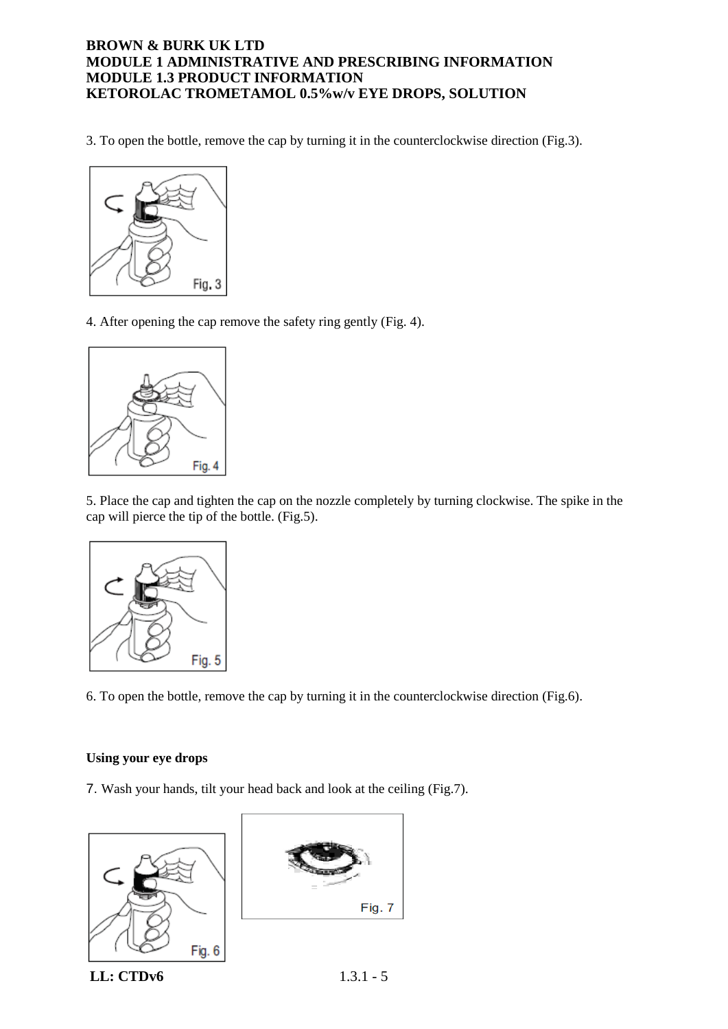3. To open the bottle, remove the cap by turning it in the counterclockwise direction (Fig.3).



4. After opening the cap remove the safety ring gently (Fig. 4).



5. Place the cap and tighten the cap on the nozzle completely by turning clockwise. The spike in the cap will pierce the tip of the bottle. (Fig.5).



6. To open the bottle, remove the cap by turning it in the counterclockwise direction (Fig.6).

### **Using your eye drops**

7. Wash your hands, tilt your head back and look at the ceiling (Fig.7).

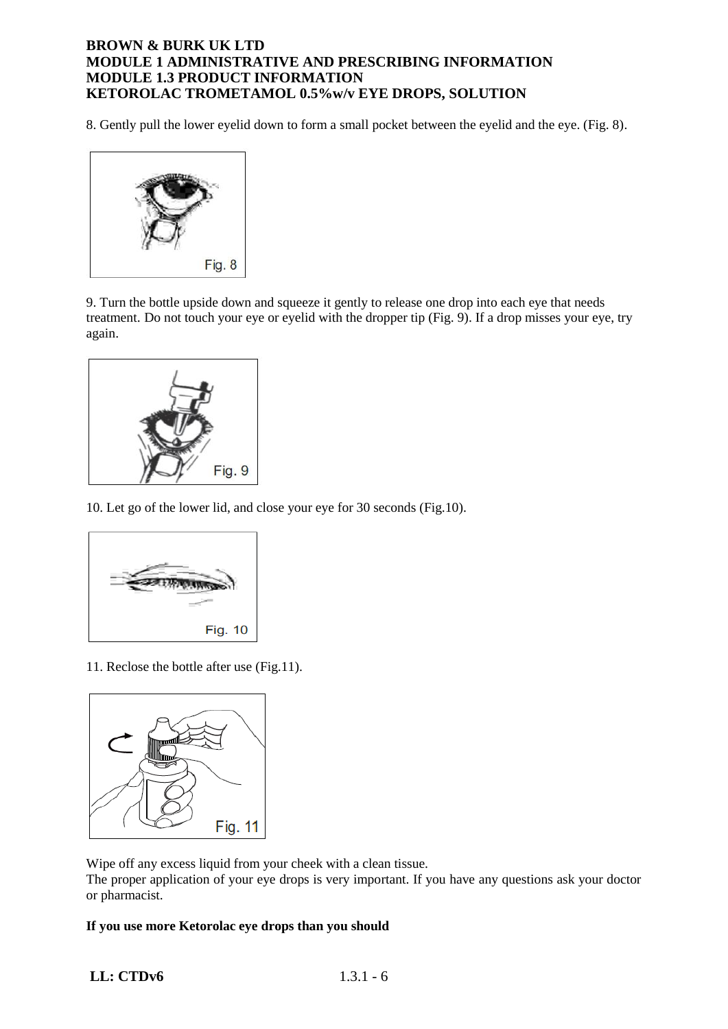8. Gently pull the lower eyelid down to form a small pocket between the eyelid and the eye. (Fig. 8).



9. Turn the bottle upside down and squeeze it gently to release one drop into each eye that needs treatment. Do not touch your eye or eyelid with the dropper tip (Fig. 9). If a drop misses your eye, try again.



10. Let go of the lower lid, and close your eye for 30 seconds (Fig.10).



11. Reclose the bottle after use (Fig.11).



Wipe off any excess liquid from your cheek with a clean tissue. The proper application of your eye drops is very important. If you have any questions ask your doctor or pharmacist.

## **If you use more Ketorolac eye drops than you should**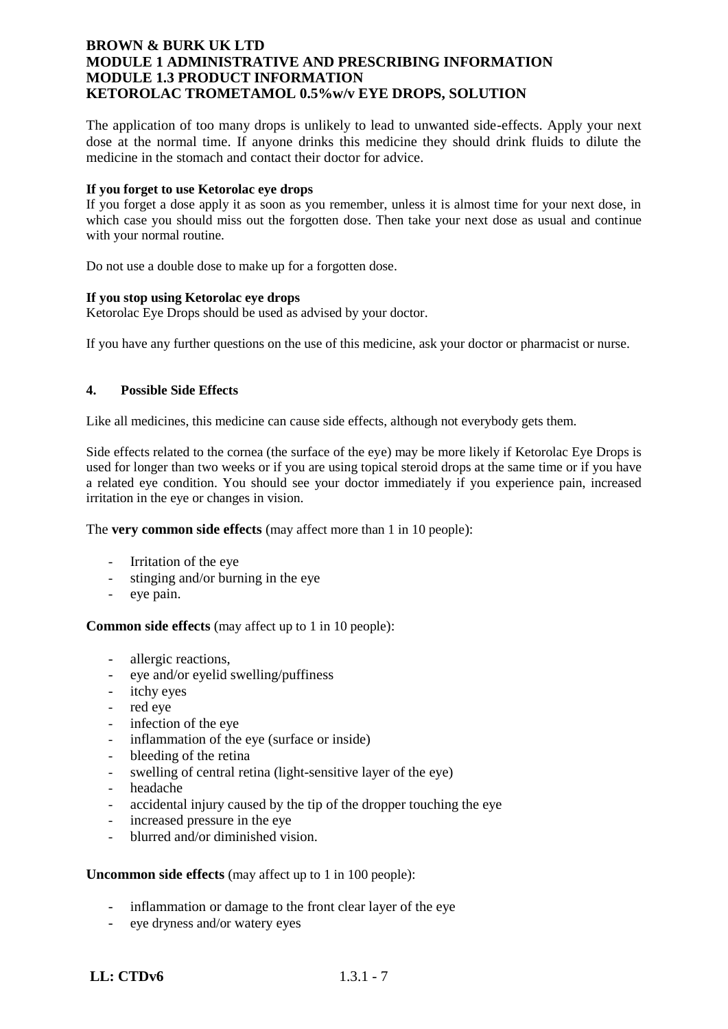The application of too many drops is unlikely to lead to unwanted side-effects. Apply your next dose at the normal time. If anyone drinks this medicine they should drink fluids to dilute the medicine in the stomach and contact their doctor for advice.

#### **If you forget to use Ketorolac eye drops**

If you forget a dose apply it as soon as you remember, unless it is almost time for your next dose, in which case you should miss out the forgotten dose. Then take your next dose as usual and continue with your normal routine.

Do not use a double dose to make up for a forgotten dose.

#### **If you stop using Ketorolac eye drops**

Ketorolac Eye Drops should be used as advised by your doctor.

If you have any further questions on the use of this medicine, ask your doctor or pharmacist or nurse.

### **4. Possible Side Effects**

Like all medicines, this medicine can cause side effects, although not everybody gets them.

Side effects related to the cornea (the surface of the eye) may be more likely if Ketorolac Eye Drops is used for longer than two weeks or if you are using topical steroid drops at the same time or if you have a related eye condition. You should see your doctor immediately if you experience pain, increased irritation in the eye or changes in vision.

The **very common side effects** (may affect more than 1 in 10 people):

- Irritation of the eye
- stinging and/or burning in the eye
- eye pain.

**Common side effects** (may affect up to 1 in 10 people):

- allergic reactions,
- eye and/or eyelid swelling/puffiness
- itchy eyes
- red eye
- infection of the eye
- inflammation of the eye (surface or inside)
- bleeding of the retina
- swelling of central retina (light-sensitive layer of the eye)
- headache
- accidental injury caused by the tip of the dropper touching the eye
- increased pressure in the eye
- blurred and/or diminished vision.

### **Uncommon side effects** (may affect up to 1 in 100 people):

- inflammation or damage to the front clear layer of the eye
- eye dryness and/or watery eyes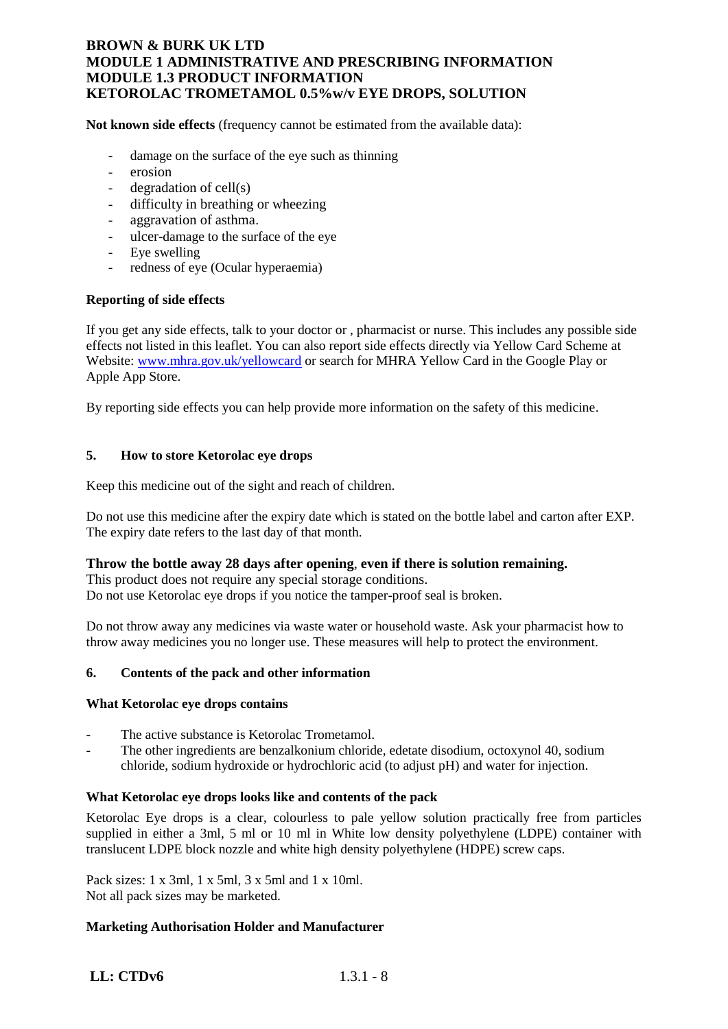**Not known side effects** (frequency cannot be estimated from the available data):

- damage on the surface of the eye such as thinning
- erosion
- degradation of cell(s)
- difficulty in breathing or wheezing
- aggravation of asthma.
- ulcer-damage to the surface of the eye
- Eye swelling
- redness of eye (Ocular hyperaemia)

### **Reporting of side effects**

If you get any side effects, talk to your doctor or , pharmacist or nurse. This includes any possible side effects not listed in this leaflet. You can also report side effects directly via Yellow Card Scheme at Website: [www.mhra.gov.uk/yellowcard](http://www.mhra.gov.uk/yellowcard) or search for MHRA Yellow Card in the Google Play or Apple App Store.

By reporting side effects you can help provide more information on the safety of this medicine.

### **5. How to store Ketorolac eye drops**

Keep this medicine out of the sight and reach of children.

Do not use this medicine after the expiry date which is stated on the bottle label and carton after EXP. The expiry date refers to the last day of that month.

### **Throw the bottle away 28 days after opening**, **even if there is solution remaining.**

This product does not require any special storage conditions. Do not use Ketorolac eye drops if you notice the tamper-proof seal is broken.

Do not throw away any medicines via waste water or household waste. Ask your pharmacist how to throw away medicines you no longer use. These measures will help to protect the environment.

### **6. Contents of the pack and other information**

#### **What Ketorolac eye drops contains**

- The active substance is Ketorolac Trometamol.
- The other ingredients are benzalkonium chloride, edetate disodium, octoxynol 40, sodium chloride, sodium hydroxide or hydrochloric acid (to adjust pH) and water for injection.

### **What Ketorolac eye drops looks like and contents of the pack**

Ketorolac Eye drops is a clear, colourless to pale yellow solution practically free from particles supplied in either a 3ml, 5 ml or 10 ml in White low density polyethylene (LDPE) container with translucent LDPE block nozzle and white high density polyethylene (HDPE) screw caps.

Pack sizes: 1 x 3ml, 1 x 5ml, 3 x 5ml and 1 x 10ml. Not all pack sizes may be marketed.

### **Marketing Authorisation Holder and Manufacturer**